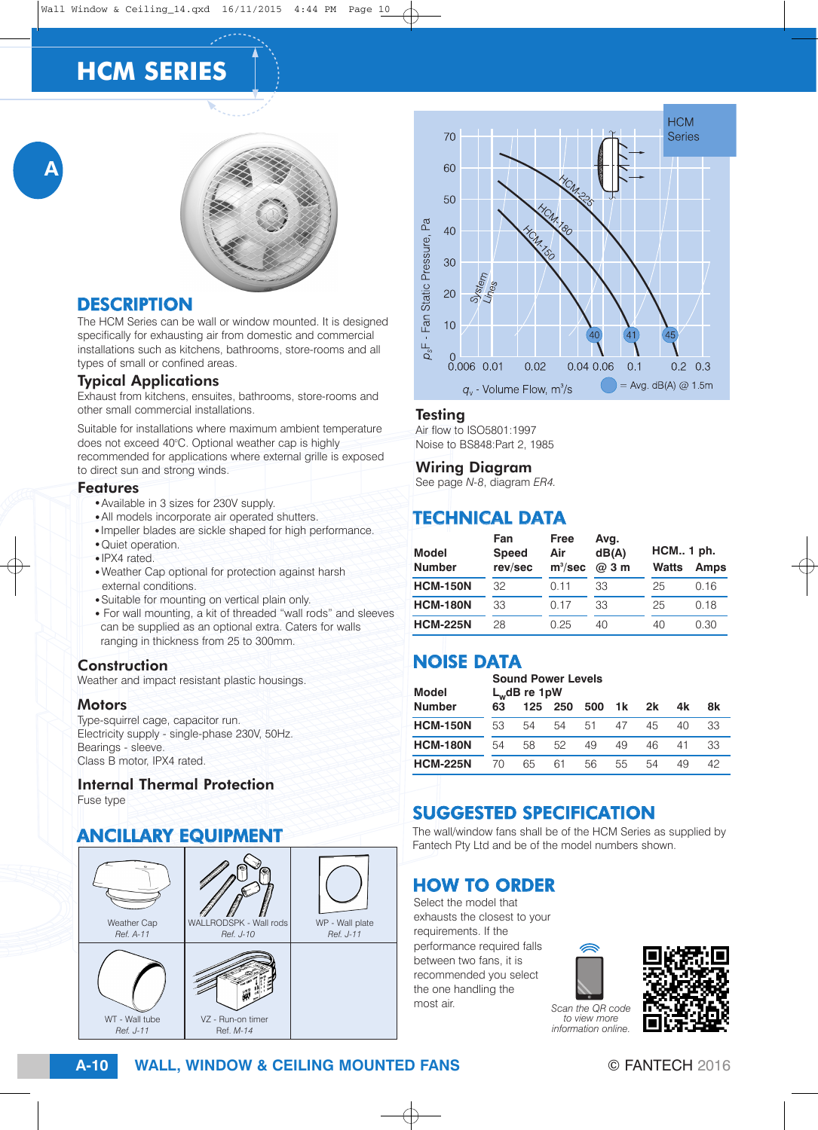# **HCM SERIES**





### **DESCRIPTION**

The HCM Series can be wall or window mounted. It is designed specifically for exhausting air from domestic and commercial installations such as kitchens, bathrooms, store-rooms and all types of small or confined areas.

#### Typical Applications

Exhaust from kitchens, ensuites, bathrooms, store-rooms and other small commercial installations.

Suitable for installations where maximum ambient temperature does not exceed 40°C. Optional weather cap is highly recommended for applications where external grille is exposed to direct sun and strong winds.

#### Features

- Available in 3 sizes for 230V supply.
- All models incorporate air operated shutters.
- Impeller blades are sickle shaped for high performance. · Quiet operation.
- $\bullet$  IPX4 rated.
- . Weather Cap optional for protection against harsh external conditions.
- Suitable for mounting on vertical plain only.
- For wall mounting, a kit of threaded "wall rods" and sleeves can be supplied as an optional extra. Caters for walls ranging in thickness from 25 to 300mm.

#### **Construction**

Weather and impact resistant plastic housings.

#### **Motors**

Type-squirrel cage, capacitor run. Electricity supply - single-phase 230V, 50Hz. Bearings - sleeve. Class B motor, IPX4 rated.

#### Internal Thermal Protection

Fuse type

### ANCILLARY EQUIPMENT





#### **Testing**

Air flow to ISO5801:1997 Noise to BS848:Part 2, 1985

#### Wiring Diagram

See page *N-8*, diagram *ER4.*

### TECHNICAL DATA

| Model<br><b>Number</b> | Fan<br><b>Speed</b><br>rev/sec | Free<br>Air<br>$m^3/sec$ | Avg.<br>dB(A)<br>@ 3 m | <b>HCM 1 ph.</b><br><b>Watts</b> | <b>Amps</b> |
|------------------------|--------------------------------|--------------------------|------------------------|----------------------------------|-------------|
| <b>HCM-150N</b>        | 32                             | 011                      | 33                     | 25                               | 0.16        |
| <b>HCM-180N</b>        | 33                             | 0.17                     | 33                     | 25                               | 0.18        |
| <b>HCM-225N</b>        | 28                             | 0.25                     | 40                     | 40                               | 0.30        |

# NOISE DATA

| <b>Model</b>    | <b>Sound Power Levels</b><br>$L_w$ dB re 1pW |     |     |     |    |    |    |    |
|-----------------|----------------------------------------------|-----|-----|-----|----|----|----|----|
| <b>Number</b>   | 63                                           | 125 | 250 | 500 | 1k | 2k | 4k | 8k |
| <b>HCM-150N</b> | 53                                           | 54  | 54  | 51  | 47 | 45 | 40 | 33 |
| <b>HCM-180N</b> | 54                                           | 58  | 52  | 49  | 49 | 46 | 41 | 33 |
| <b>HCM-225N</b> | 70                                           | 65  | 61  | 56  | 55 | 54 | 49 | 42 |

# SUGGESTED SPECIFICATION

The wall/window fans shall be of the HCM Series as supplied by Fantech Pty Ltd and be of the model numbers shown.

## HOW TO ORDER

Select the model that exhausts the closest to your requirements. If the performance required falls between two fans, it is recommended you select the one handling the most air.



*Scan the QR code to view more information online.*



**WALL, WINDOW & CEILING MOUNTED FANS A-10** © FANTECH 2016